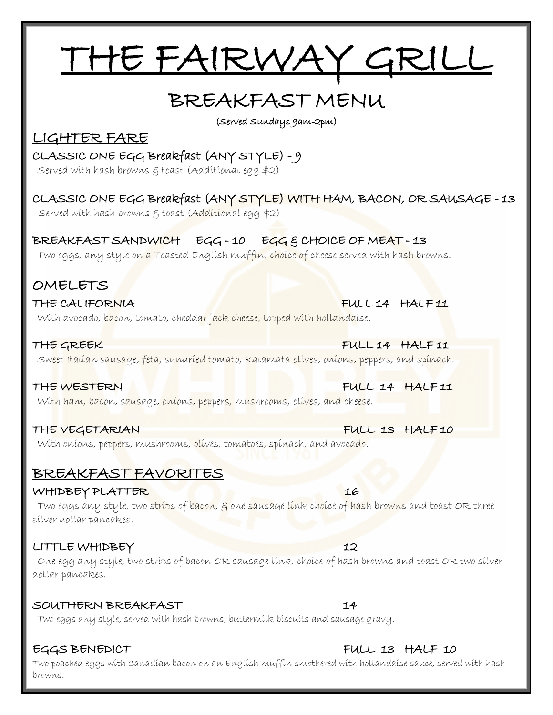# THE FAIRWAY GRILL

## BREAKFAST MENU

(Served Sundays 9am-2pm)

### LIGHTER FARE

#### CLASSIC ONE EGG Breakfast (ANY STYLE) - 9

Served with hash browns & toast (Additional egg \$2)

### CLASSIC ONE EGG Breakfast (ANY STYLE) WITH HAM, BACON, OR SAUSAGE - 13

Served with hash browns & toast (Additional egg \$2)

#### BREAKFAST SANDWICH EGG-10 EGG & CHOICE OF MEAT-13

Two eggs, any style on a Toasted English muffin, choice of cheese served with hash browns.

### OMELETS

#### THE CALIFORNIA FULL 14 HALF 11

With avocado, bacon, tomato, cheddar jack cheese, topped with hollandaise.

THE GREEK FULL 14 HALF 11 Sweet Italian sausage, feta, sundried tomato, Kalamata olives, onions, peppers, and spinach.

#### THE WESTERN FULL 14 HALF 11

With ham, bacon, sausage, onions, peppers, mushrooms, olives, and cheese.

#### THE VEGETARIAN FULL 13 HALF 10

With onions, peppers, mushrooms, olives, tomatoes, spinach, and avocado.

### BREAKFAST FAVORITES

#### WHIDBEY PLATTER 16

Two eggs any style, two strips of bacon,  $\varepsilon$  one sausage link choice of hash browns and toast OR three silver dollar pancakes.

### LITTLE WHIDBEY 12

 One egg any style, two strips of bacon OR sausage link, choice of hash browns and toast OR two silver dollar pancakes.

#### SOUTHERN BREAKFAST 14

Two eggs any style, served with hash browns, buttermilk biscuits and sausage gravy.

#### EGGS BENEDICT FULL 13 HALF 10

Two poached eggs with Canadian bacon on an English muffin smothered with hollandaise sauce, served with hash browns.